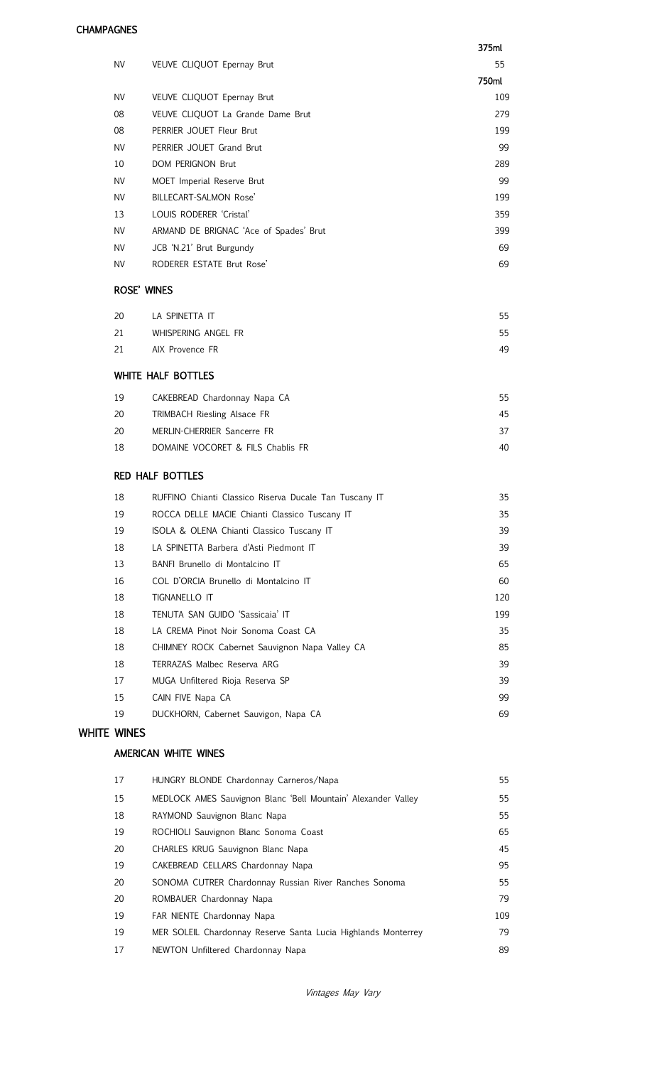#### **CHAMPAGNES**

|                    |                    |                                                        | 375ml |
|--------------------|--------------------|--------------------------------------------------------|-------|
|                    | <b>NV</b>          | VEUVE CLIQUOT Epernay Brut                             | 55    |
|                    |                    |                                                        | 750ml |
|                    | <b>NV</b>          | VEUVE CLIQUOT Epernay Brut                             | 109   |
|                    | 08                 | VEUVE CLIQUOT La Grande Dame Brut                      | 279   |
|                    | 08                 | PERRIER JOUET Fleur Brut                               | 199   |
|                    | <b>NV</b>          | PERRIER JOUET Grand Brut                               | 99    |
|                    | 10                 | <b>DOM PERIGNON Brut</b>                               | 289   |
|                    | <b>NV</b>          | MOET Imperial Reserve Brut                             | 99    |
|                    | <b>NV</b>          | BILLECART-SALMON Rose'                                 | 199   |
|                    | 13                 | LOUIS RODERER 'Cristal'                                | 359   |
|                    | <b>NV</b>          | ARMAND DE BRIGNAC 'Ace of Spades' Brut                 | 399   |
|                    | <b>NV</b>          | JCB 'N.21' Brut Burgundy                               | 69    |
|                    | <b>NV</b>          | RODERER ESTATE Brut Rose'                              | 69    |
|                    | <b>ROSE' WINES</b> |                                                        |       |
|                    | 20                 | LA SPINETTA IT                                         | 55    |
|                    | 21                 | WHISPERING ANGEL FR                                    | 55    |
|                    | 21                 | AIX Provence FR                                        | 49    |
|                    |                    | WHITE HALF BOTTLES                                     |       |
|                    | 19                 | CAKEBREAD Chardonnay Napa CA                           | 55    |
|                    | 20                 | TRIMBACH Riesling Alsace FR                            | 45    |
|                    | 20                 | MERLIN-CHERRIER Sancerre FR                            | 37    |
|                    | 18                 | DOMAINE VOCORET & FILS Chablis FR                      | 40    |
|                    |                    | <b>RED HALF BOTTLES</b>                                |       |
|                    | 18                 | RUFFINO Chianti Classico Riserva Ducale Tan Tuscany IT | 35    |
|                    | 19                 | ROCCA DELLE MACIE Chianti Classico Tuscany IT          | 35    |
|                    | 19                 | ISOLA & OLENA Chianti Classico Tuscany IT              | 39    |
|                    | 18                 | LA SPINETTA Barbera d'Asti Piedmont IT                 | 39    |
|                    | 13                 | BANFI Brunello di Montalcino IT                        | 65    |
|                    | 16                 | COL D'ORCIA Brunello di Montalcino IT                  | 60    |
|                    | 18                 | TIGNANELLO IT                                          | 120   |
|                    | 18                 | TENUTA SAN GUIDO 'Sassicaia' IT                        | 199   |
|                    | 18                 | LA CREMA Pinot Noir Sonoma Coast CA                    | 35    |
|                    | 18                 | CHIMNEY ROCK Cabernet Sauvignon Napa Valley CA         | 85    |
|                    | 18                 | TERRAZAS Malbec Reserva ARG                            | 39    |
|                    | 17                 | MUGA Unfiltered Rioja Reserva SP                       | 39    |
|                    | 15                 | CAIN FIVE Napa CA                                      | 99    |
|                    | 19                 | DUCKHORN, Cabernet Sauvigon, Napa CA                   | 69    |
| <b>WHITE WINES</b> |                    |                                                        |       |
|                    |                    | AMERICAN WHITE WINES                                   |       |

| HUNGRY BLONDE Chardonnay Carneros/Napa                        | 55  |
|---------------------------------------------------------------|-----|
| MEDLOCK AMES Sauvignon Blanc 'Bell Mountain' Alexander Valley | 55  |
| RAYMOND Sauvignon Blanc Napa                                  | 55  |
| ROCHIOLI Sauvignon Blanc Sonoma Coast                         | 65  |
| CHARLES KRUG Sauvignon Blanc Napa                             | 45  |
| CAKEBREAD CELLARS Chardonnay Napa                             | 95  |
| SONOMA CUTRER Chardonnay Russian River Ranches Sonoma         | 55  |
| ROMBAUER Chardonnay Napa                                      | 79  |
| FAR NIENTE Chardonnay Napa                                    | 109 |
| MER SOLEIL Chardonnay Reserve Santa Lucia Highlands Monterrey | 79  |
| NEWTON Unfiltered Chardonnay Napa                             | 89  |
|                                                               |     |

Vintages May Vary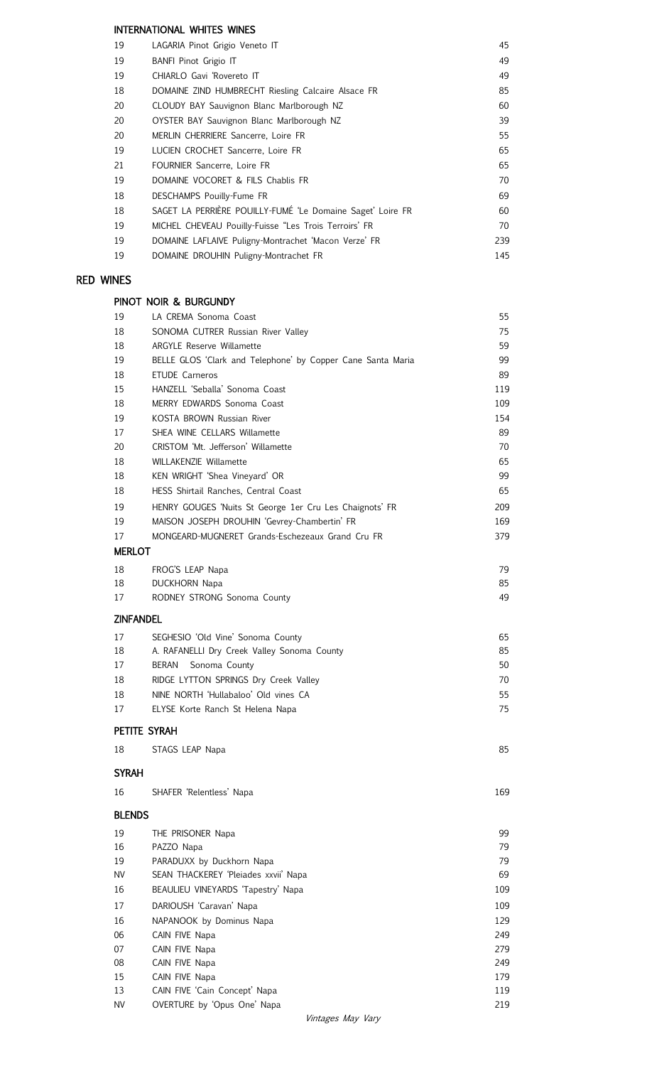### INTERNATIONAL WHITES WINES

| 19 | LAGARIA Pinot Grigio Veneto IT                             | 45  |
|----|------------------------------------------------------------|-----|
| 19 | BANFI Pinot Grigio IT                                      | 49  |
| 19 | CHIARLO Gavi 'Rovereto IT                                  | 49  |
| 18 | DOMAINE ZIND HUMBRECHT Riesling Calcaire Alsace FR         | 85  |
| 20 | CLOUDY BAY Sauvignon Blanc Marlborough NZ                  | 60  |
| 20 | OYSTER BAY Sauvignon Blanc Marlborough NZ                  | 39  |
| 20 | MERLIN CHERRIERE Sancerre, Loire FR                        | 55  |
| 19 | LUCIEN CROCHET Sancerre, Loire FR                          | 65  |
| 21 | FOURNIER Sancerre, Loire FR                                | 65  |
| 19 | DOMAINE VOCORET & FILS Chablis FR                          | 70  |
| 18 | DESCHAMPS Pouilly-Fume FR                                  | 69  |
| 18 | SAGET LA PERRIÈRE POUILLY-FUMÉ 'Le Domaine Saget' Loire FR | 60  |
| 19 | MICHEL CHEVEAU Pouilly-Fuisse "Les Trois Terroirs' FR      | 70  |
| 19 | DOMAINE LAFLAIVE Puligny-Montrachet 'Macon Verze' FR       | 239 |
| 19 | DOMAINE DROUHIN Puligny-Montrachet FR                      | 145 |

# RED WINES

## PINOT NOIR & BURGUNDY

| 19               | LA CREMA Sonoma Coast                                       | 55       |
|------------------|-------------------------------------------------------------|----------|
| 18               | SONOMA CUTRER Russian River Valley                          | 75       |
| 18               | <b>ARGYLE Reserve Willamette</b>                            | 59       |
| 19               | BELLE GLOS 'Clark and Telephone' by Copper Cane Santa Maria | 99       |
| 18               | <b>ETUDE Carneros</b>                                       | 89       |
| 15               | HANZELL 'Seballa' Sonoma Coast                              | 119      |
| 18               | MERRY EDWARDS Sonoma Coast                                  | 109      |
| 19               | KOSTA BROWN Russian River                                   | 154      |
| 17               | SHEA WINE CELLARS Willamette                                | 89       |
| 20               | CRISTOM 'Mt. Jefferson' Willamette                          | 70       |
| 18               | <b>WILLAKENZIE Willamette</b>                               | 65       |
| 18               | KEN WRIGHT 'Shea Vineyard' OR                               | 99       |
| 18               | HESS Shirtail Ranches, Central Coast                        | 65       |
| 19               | HENRY GOUGES 'Nuits St George 1er Cru Les Chaignots' FR     | 209      |
| 19               | MAISON JOSEPH DROUHIN 'Gevrey-Chambertin' FR                | 169      |
| 17               | MONGEARD-MUGNERET Grands-Eschezeaux Grand Cru FR            | 379      |
| <b>MERLOT</b>    |                                                             |          |
|                  |                                                             |          |
| 18<br>18         | FROG'S LEAP Napa                                            | 79<br>85 |
| 17               | <b>DUCKHORN Napa</b><br>RODNEY STRONG Sonoma County         | 49       |
|                  |                                                             |          |
| <b>ZINFANDEL</b> |                                                             |          |
| 17               | SEGHESIO 'Old Vine' Sonoma County                           | 65       |
| 18               | A. RAFANELLI Dry Creek Valley Sonoma County                 | 85       |
| 17               | <b>BERAN</b><br>Sonoma County                               | 50       |
| 18               | RIDGE LYTTON SPRINGS Dry Creek Valley                       | 70       |
| 18               | NINE NORTH 'Hullabaloo' Old vines CA                        | 55       |
| 17               | ELYSE Korte Ranch St Helena Napa                            | 75       |
|                  | PETITE SYRAH                                                |          |
| 18               | STAGS LEAP Napa                                             | 85       |
|                  |                                                             |          |
| <b>SYRAH</b>     |                                                             |          |
| 16               | SHAFER 'Relentless' Napa                                    | 169      |
| <b>BLENDS</b>    |                                                             |          |
| 19               | THE PRISONER Napa                                           | 99       |
| 16               | PAZZO Napa                                                  | 79       |
| 19               | PARADUXX by Duckhorn Napa                                   | 79       |
| <b>NV</b>        | SEAN THACKEREY 'Pleiades xxvii' Napa                        | 69       |
| 16               | BEAULIEU VINEYARDS 'Tapestry' Napa                          | 109      |
| 17               | DARIOUSH 'Caravan' Napa                                     | 109      |
| 16               | NAPANOOK by Dominus Napa                                    | 129      |
| 06               | CAIN FIVE Napa                                              | 249      |
| 07               | CAIN FIVE Napa                                              | 279      |
| 08               | CAIN FIVE Napa                                              | 249      |
| 15               | CAIN FIVE Napa                                              | 179      |
| 13               | CAIN FIVE 'Cain Concept' Napa                               | 119      |
| <b>NV</b>        | OVERTURE by 'Opus One' Napa                                 | 219      |
|                  |                                                             |          |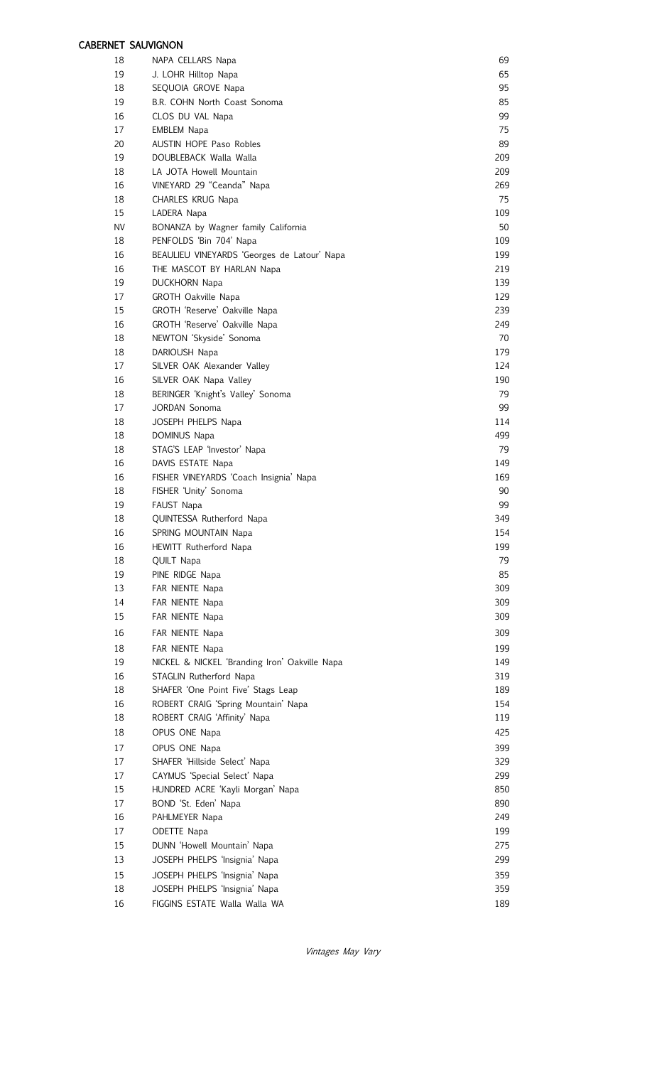### CABERNET SAUVIGNON

| 18        | NAPA CELLARS Napa                             | 69  |
|-----------|-----------------------------------------------|-----|
| 19        | J. LOHR Hilltop Napa                          | 65  |
| 18        | SEQUOIA GROVE Napa                            | 95  |
| 19        | B.R. COHN North Coast Sonoma                  | 85  |
| 16        | CLOS DU VAL Napa                              | 99  |
| 17        | <b>EMBLEM Napa</b>                            | 75  |
| 20        | <b>AUSTIN HOPE Paso Robles</b>                | 89  |
| 19        | DOUBLEBACK Walla Walla                        | 209 |
| 18        | LA JOTA Howell Mountain                       | 209 |
| 16        | VINEYARD 29 "Ceanda" Napa                     | 269 |
| 18        |                                               | 75  |
|           | CHARLES KRUG Napa                             |     |
| 15        | LADERA Napa                                   | 109 |
| <b>NV</b> | BONANZA by Wagner family California           | 50  |
| 18        | PENFOLDS 'Bin 704' Napa                       | 109 |
| 16        | BEAULIEU VINEYARDS 'Georges de Latour' Napa   | 199 |
| 16        | THE MASCOT BY HARLAN Napa                     | 219 |
| 19        | <b>DUCKHORN Napa</b>                          | 139 |
| 17        | GROTH Oakville Napa                           | 129 |
| 15        | GROTH 'Reserve' Oakville Napa                 | 239 |
| 16        | GROTH 'Reserve' Oakville Napa                 | 249 |
| 18        | NEWTON 'Skyside' Sonoma                       | 70  |
| 18        | DARIOUSH Napa                                 | 179 |
| 17        | SILVER OAK Alexander Valley                   | 124 |
| 16        | SILVER OAK Napa Valley                        | 190 |
| 18        | BERINGER 'Knight's Valley' Sonoma             | 79  |
| 17        | JORDAN Sonoma                                 | 99  |
| 18        | JOSEPH PHELPS Napa                            | 114 |
| 18        | DOMINUS Napa                                  | 499 |
| 18        | STAG'S LEAP 'Investor' Napa                   | 79  |
| 16        | DAVIS ESTATE Napa                             | 149 |
| 16        | FISHER VINEYARDS 'Coach Insignia' Napa        | 169 |
| 18        | FISHER 'Unity' Sonoma                         | 90  |
| 19        | FAUST Napa                                    | 99  |
| 18        | QUINTESSA Rutherford Napa                     | 349 |
| 16        | SPRING MOUNTAIN Napa                          | 154 |
| 16        | HEWITT Rutherford Napa                        | 199 |
| 18        | <b>QUILT Napa</b>                             | 79  |
| 19        | PINE RIDGE Napa                               | 85  |
| 13        | FAR NIENTE Napa                               | 309 |
| 14        | FAR NIENTE Napa                               | 309 |
| 15        | FAR NIENTE Napa                               | 309 |
| 16        | FAR NIENTE Napa                               | 309 |
| 18        | FAR NIENTE Napa                               | 199 |
| 19        | NICKEL & NICKEL 'Branding Iron' Oakville Napa | 149 |
| 16        | STAGLIN Rutherford Napa                       | 319 |
| 18        | SHAFER 'One Point Five' Stags Leap            | 189 |
| 16        | ROBERT CRAIG 'Spring Mountain' Napa           | 154 |
| 18        |                                               | 119 |
|           | ROBERT CRAIG 'Affinity' Napa                  |     |
| 18        | OPUS ONE Napa                                 | 425 |
| 17        | OPUS ONE Napa                                 | 399 |
| 17        | SHAFER 'Hillside Select' Napa                 | 329 |
| 17        | CAYMUS 'Special Select' Napa                  | 299 |
| 15        | HUNDRED ACRE 'Kayli Morgan' Napa              | 850 |
| 17        | BOND 'St. Eden' Napa                          | 890 |
| 16        | PAHLMEYER Napa                                | 249 |
| 17        | ODETTE Napa                                   | 199 |
| 15        | DUNN 'Howell Mountain' Napa                   | 275 |
| 13        | JOSEPH PHELPS 'Insignia' Napa                 | 299 |
| 15        | JOSEPH PHELPS 'Insignia' Napa                 | 359 |
| 18        | JOSEPH PHELPS 'Insignia' Napa                 | 359 |
| 16        | FIGGINS ESTATE Walla Walla WA                 | 189 |

Vintages May Vary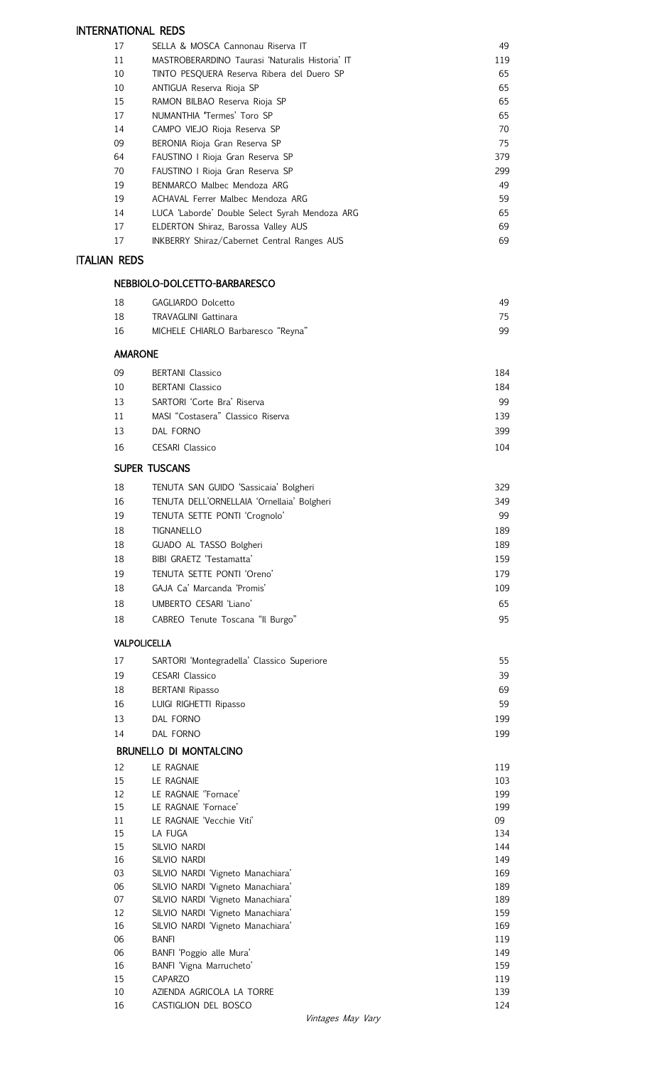## INTERNATIONAL REDS

| 17 | SELLA & MOSCA Cannonau Riserva IT                  | 49  |
|----|----------------------------------------------------|-----|
| 11 | MASTROBERARDINO Taurasi 'Naturalis Historia' IT    | 119 |
| 10 | TINTO PESQUERA Reserva Ribera del Duero SP         | 65  |
| 10 | ANTIGUA Reserva Rioja SP                           | 65  |
| 15 | RAMON BILBAO Reserva Rioja SP                      | 65  |
| 17 | NUMANTHIA Termes' Toro SP                          | 65  |
| 14 | CAMPO VIEJO Rioja Reserva SP                       | 70  |
| 09 | BERONIA Rioja Gran Reserva SP                      | 75  |
| 64 | FAUSTINO I Rioja Gran Reserva SP                   | 379 |
| 70 | FAUSTINO I Rioja Gran Reserva SP                   | 299 |
| 19 | BENMARCO Malbec Mendoza ARG                        | 49  |
| 19 | ACHAVAL Ferrer Malbec Mendoza ARG                  | 59  |
| 14 | LUCA 'Laborde' Double Select Syrah Mendoza ARG     | 65  |
| 17 | ELDERTON Shiraz, Barossa Valley AUS                | 69  |
| 17 | <b>INKBERRY Shiraz/Cabernet Central Ranges AUS</b> | 69  |

#### ITALIAN REDS

# NEBBIOLO-DOLCETTO-BARBARESCO

|                | INEDDIULU-DULUE I IU-DARDARESUU                                        |            |
|----------------|------------------------------------------------------------------------|------------|
| 18             | GAGLIARDO Dolcetto                                                     | 49         |
| 18             | <b>TRAVAGLINI Gattinara</b>                                            | 75         |
| 16             | MICHELE CHIARLO Barbaresco "Reyna"                                     | 99         |
| <b>AMARONE</b> |                                                                        |            |
| 09             | <b>BERTANI</b> Classico                                                | 184        |
| 10             | <b>BERTANI</b> Classico                                                | 184        |
| 13             | SARTORI 'Corte Bra' Riserva                                            | 99         |
| 11             | MASI "Costasera" Classico Riserva                                      | 139        |
| 13             | DAL FORNO                                                              | 399        |
| 16             | <b>CESARI Classico</b>                                                 | 104        |
|                | <b>SUPER TUSCANS</b>                                                   |            |
| 18             | TENUTA SAN GUIDO 'Sassicaia' Bolgheri                                  | 329        |
| 16             | TENUTA DELL'ORNELLAIA 'Ornellaia' Bolgheri                             | 349        |
| 19             | TENUTA SETTE PONTI 'Crognolo'                                          | 99         |
| 18             | <b>TIGNANELLO</b>                                                      | 189        |
| 18             | GUADO AL TASSO Bolgheri                                                | 189        |
| 18             | BIBI GRAETZ 'Testamatta'                                               | 159        |
| 19             | TENUTA SETTE PONTI 'Oreno'                                             | 179        |
| 18             | GAJA Ca' Marcanda 'Promis'                                             | 109        |
| 18             | UMBERTO CESARI 'Liano'                                                 | 65         |
| 18             | CABREO Tenute Toscana "Il Burgo"                                       | 95         |
|                | <b>VALPOLICELLA</b>                                                    |            |
| 17             | SARTORI 'Montegradella' Classico Superiore                             | 55         |
| 19             | <b>CESARI</b> Classico                                                 | 39         |
| 18             | <b>BERTANI Ripasso</b>                                                 | 69         |
| 16             | LUIGI RIGHETTI Ripasso                                                 | 59         |
| 13             | DAL FORNO                                                              | 199        |
| 14             | DAL FORNO                                                              | 199        |
|                | <b>BRUNELLO DI MONTALCINO</b>                                          |            |
| 12             | LE RAGNAIE                                                             | 119        |
| 15             | LE RAGNAIE                                                             | 103        |
| 12             | LE RAGNAIE "Fornace'                                                   | 199        |
| 15             | LE RAGNAIE 'Fornace'                                                   | 199        |
| 11             | LE RAGNAIE 'Vecchie Viti'                                              | 09         |
| 15             | LA FUGA                                                                | 134        |
| 15             | SILVIO NARDI                                                           | 144        |
| 16             | SILVIO NARDI                                                           | 149        |
| 03             | SILVIO NARDI 'Vigneto Manachiara'                                      | 169        |
| 06<br>07       | SILVIO NARDI 'Vigneto Manachiara'<br>SILVIO NARDI 'Vigneto Manachiara' | 189<br>189 |
| 12             | SILVIO NARDI 'Vigneto Manachiara'                                      | 159        |

 SILVIO NARDI 'Vigneto Manachiara' 169 06 BANFI 119 BANFI 'Poggio alle Mura' 149 BANFI 'Vigna Marrucheto' 159 CAPARZO 119 AZIENDA AGRICOLA LA TORRE 139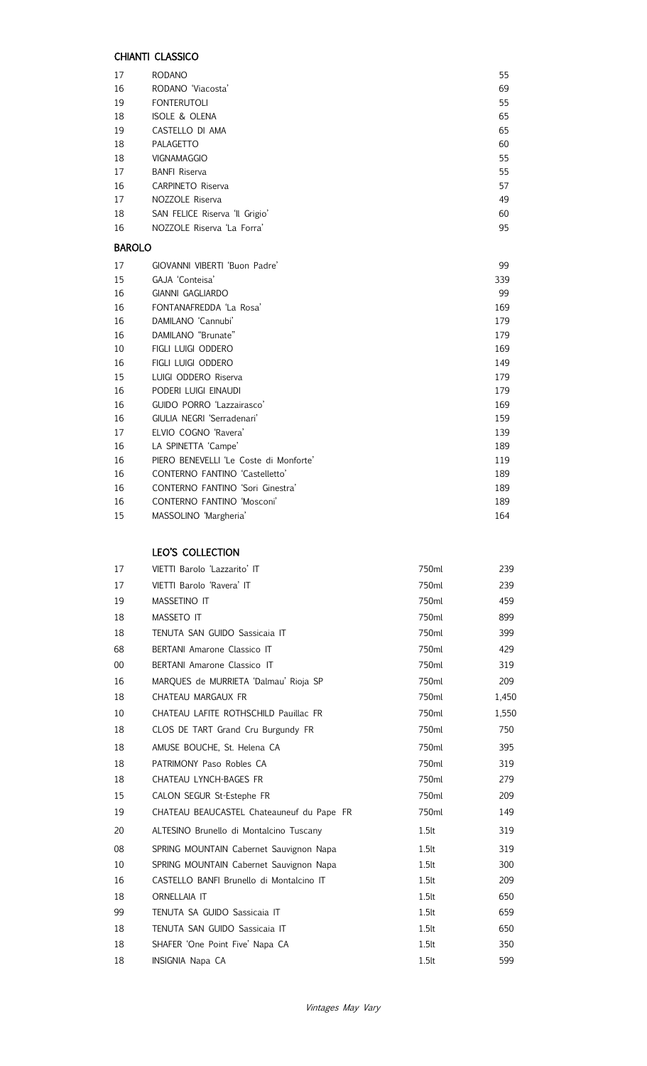## CHIANTI CLASSICO

|               | UTIMINII ULAJJIUU                      |     |
|---------------|----------------------------------------|-----|
| 17            | <b>RODANO</b>                          | 55  |
| 16            | RODANO 'Viacosta'                      | 69  |
| 19            | <b>FONTERUTOLI</b>                     | 55  |
| 18            | <b>ISOLE &amp; OLENA</b>               | 65  |
| 19            | CASTELLO DI AMA                        | 65  |
| 18            | PALAGETTO                              | 60  |
| 18            | VIGNAMAGGIO                            | 55  |
| 17            | <b>BANFI Riserva</b>                   | 55  |
| 16            | <b>CARPINETO Riserva</b>               | 57  |
| 17            | NOZZOLE Riserva                        | 49  |
| 18            | SAN FELICE Riserva 'Il Grigio'         | 60  |
| 16            | NOZZOLE Riserva 'La Forra'             | 95  |
| <b>BAROLO</b> |                                        |     |
| 17            | GIOVANNI VIBERTI 'Buon Padre'          | 99  |
| 15            | GAJA 'Conteisa'                        | 339 |
| 16            | <b>GIANNI GAGLIARDO</b>                | 99  |
| 16            | FONTANAFREDDA 'La Rosa'                | 169 |
| 16            | DAMILANO 'Cannubi'                     | 179 |
| 16            | DAMILANO "Brunate"                     | 179 |
| 10            | FIGLI LUIGI ODDERO                     | 169 |
| 16            | FIGLI LUIGI ODDERO                     | 149 |
| 15            | LUIGI ODDERO Riserva                   | 179 |
| 16            | PODERI LUIGI EINAUDI                   | 179 |
| 16            | GUIDO PORRO 'Lazzairasco'              | 169 |
| 16            | GIULIA NEGRI 'Serradenari'             | 159 |
| 17            | ELVIO COGNO 'Ravera'                   | 139 |
| 16            | LA SPINETTA 'Campe'                    | 189 |
| 16            | PIERO BENEVELLI 'Le Coste di Monforte' | 119 |
| 16            | CONTERNO FANTINO 'Castelletto'         | 189 |
| 16            | CONTERNO FANTINO 'Sori Ginestra'       | 189 |
| 16            | CONTERNO FANTINO 'Mosconi'             | 189 |

MASSOLINO 'Margheria' 164

## LEO'S COLLECTION

| 17     | VIETTI Barolo 'Lazzarito' IT              | 750ml    | 239   |
|--------|-------------------------------------------|----------|-------|
| 17     | VIETTI Barolo 'Ravera' IT                 | 750ml    | 239   |
| 19     | <b>MASSETINO IT</b>                       | 750ml    | 459   |
| 18     | <b>MASSETO IT</b>                         | 750ml    | 899   |
| 18     | TENUTA SAN GUIDO Sassicaia IT             | 750ml    | 399   |
| 68     | BERTANI Amarone Classico IT               | 750ml    | 429   |
| $00\,$ | BERTANI Amarone Classico IT               | 750ml    | 319   |
| 16     | MARQUES de MURRIETA 'Dalmau' Rioja SP     | 750ml    | 209   |
| 18     | CHATEAU MARGAUX FR                        | 750ml    | 1,450 |
| 10     | CHATEAU LAFITE ROTHSCHILD Pauillac FR     | 750ml    | 1,550 |
| 18     | CLOS DE TART Grand Cru Burgundy FR        | 750ml    | 750   |
| 18     | AMUSE BOUCHE, St. Helena CA               | 750ml    | 395   |
| 18     | PATRIMONY Paso Robles CA                  | 750ml    | 319   |
| 18     | CHATEAU LYNCH-BAGES FR                    | 750ml    | 279   |
| 15     | CALON SEGUR St-Estephe FR                 | 750ml    | 209   |
| 19     | CHATEAU BEAUCASTEL Chateauneuf du Pape FR | 750ml    | 149   |
| 20     | ALTESINO Brunello di Montalcino Tuscany   | 1.5lt    | 319   |
| 08     | SPRING MOUNTAIN Cabernet Sauvignon Napa   | 1.5lt    | 319   |
| 10     | SPRING MOUNTAIN Cabernet Sauvignon Napa   | 1.5lt    | 300   |
| 16     | CASTELLO BANFI Brunello di Montalcino IT  | 1.5lt    | 209   |
| 18     | ORNELLAIA IT                              | $1.5$ lt | 650   |
| 99     | TENUTA SA GUIDO Sassicaia IT              | 1.5lt    | 659   |
| 18     | TENUTA SAN GUIDO Sassicaia IT             | $1.5$ lt | 650   |
| 18     | SHAFER 'One Point Five' Napa CA           | $1.5$ lt | 350   |
| 18     | <b>INSIGNIA Napa CA</b>                   | 1.5lt    | 599   |